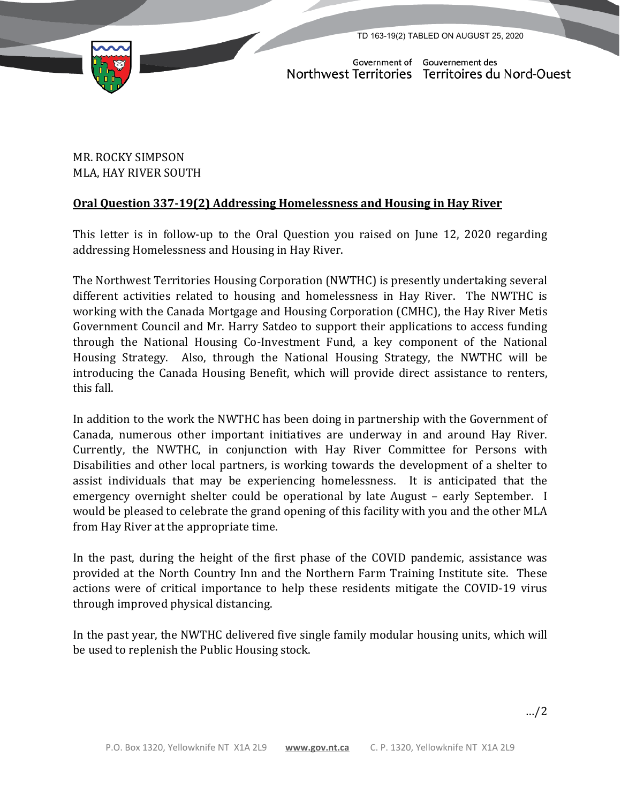TD 163-19(2) TABLED ON AUGUST 25, 2020



Government of Gouvernement des Northwest Territories Territoires du Nord-Ouest

## MR. ROCKY SIMPSON MLA, HAY RIVER SOUTH

## **Oral Question 337-19(2) Addressing Homelessness and Housing in Hay River**

This letter is in follow-up to the Oral Question you raised on June 12, 2020 regarding addressing Homelessness and Housing in Hay River.

The Northwest Territories Housing Corporation (NWTHC) is presently undertaking several different activities related to housing and homelessness in Hay River. The NWTHC is working with the Canada Mortgage and Housing Corporation (CMHC), the Hay River Metis Government Council and Mr. Harry Satdeo to support their applications to access funding through the National Housing Co-Investment Fund, a key component of the National Housing Strategy. Also, through the National Housing Strategy, the NWTHC will be introducing the Canada Housing Benefit, which will provide direct assistance to renters, this fall.

In addition to the work the NWTHC has been doing in partnership with the Government of Canada, numerous other important initiatives are underway in and around Hay River. Currently, the NWTHC, in conjunction with Hay River Committee for Persons with Disabilities and other local partners, is working towards the development of a shelter to assist individuals that may be experiencing homelessness. It is anticipated that the emergency overnight shelter could be operational by late August – early September. I would be pleased to celebrate the grand opening of this facility with you and the other MLA from Hay River at the appropriate time.

In the past, during the height of the first phase of the COVID pandemic, assistance was provided at the North Country Inn and the Northern Farm Training Institute site. These actions were of critical importance to help these residents mitigate the COVID-19 virus through improved physical distancing.

In the past year, the NWTHC delivered five single family modular housing units, which will be used to replenish the Public Housing stock.